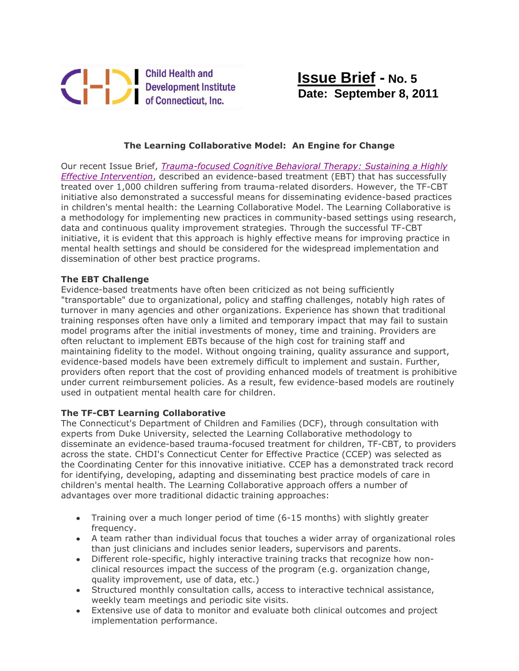

## **The Learning Collaborative Model: An Engine for Change**

Our recent Issue Brief, *[Trauma-focused Cognitive Behavioral Therapy: Sustaining a Highly](http://www.chdi.org/download.php?id=578)  [Effective Intervention](http://www.chdi.org/download.php?id=578)*, described an evidence-based treatment (EBT) that has successfully treated over 1,000 children suffering from trauma-related disorders. However, the TF-CBT initiative also demonstrated a successful means for disseminating evidence-based practices in children's mental health: the Learning Collaborative Model. The Learning Collaborative is a methodology for implementing new practices in community-based settings using research, data and continuous quality improvement strategies. Through the successful TF-CBT initiative, it is evident that this approach is highly effective means for improving practice in mental health settings and should be considered for the widespread implementation and dissemination of other best practice programs.

## **The EBT Challenge**

Evidence-based treatments have often been criticized as not being sufficiently "transportable" due to organizational, policy and staffing challenges, notably high rates of turnover in many agencies and other organizations. Experience has shown that traditional training responses often have only a limited and temporary impact that may fail to sustain model programs after the initial investments of money, time and training. Providers are often reluctant to implement EBTs because of the high cost for training staff and maintaining fidelity to the model. Without ongoing training, quality assurance and support, evidence-based models have been extremely difficult to implement and sustain. Further, providers often report that the cost of providing enhanced models of treatment is prohibitive under current reimbursement policies. As a result, few evidence-based models are routinely used in outpatient mental health care for children.

## **The TF-CBT Learning Collaborative**

The Connecticut's Department of Children and Families (DCF), through consultation with experts from Duke University, selected the Learning Collaborative methodology to disseminate an evidence-based trauma-focused treatment for children, TF-CBT, to providers across the state. CHDI's Connecticut Center for Effective Practice (CCEP) was selected as the Coordinating Center for this innovative initiative. CCEP has a demonstrated track record for identifying, developing, adapting and disseminating best practice models of care in children's mental health. The Learning Collaborative approach offers a number of advantages over more traditional didactic training approaches:

- Training over a much longer period of time (6-15 months) with slightly greater frequency.
- A team rather than individual focus that touches a wider array of organizational roles than just clinicians and includes senior leaders, supervisors and parents.
- Different role-specific, highly interactive training tracks that recognize how nonclinical resources impact the success of the program (e.g. organization change, quality improvement, use of data, etc.)
- Structured monthly consultation calls, access to interactive technical assistance, weekly team meetings and periodic site visits.
- Extensive use of data to monitor and evaluate both clinical outcomes and project implementation performance.